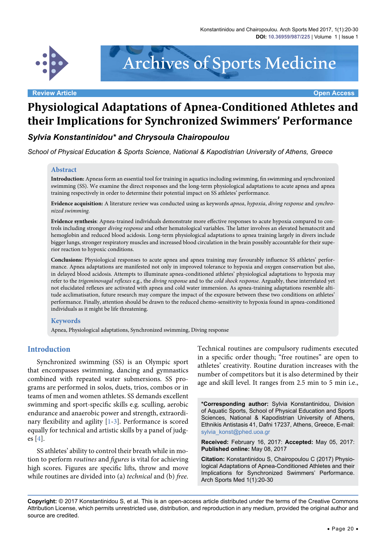

Archives of Sports Medicine

# **Physiological Adaptations of Apnea-Conditioned Athletes and their Implications for Synchronized Swimmers' Performance**

# *Sylvia Konstantinidou\* and Chrysoula Chairopoulou*

*School of Physical Education & Sports Science, National & Kapodistrian University of Athens, Greece*

#### **Abstract**

**Introduction:** Apneas form an essential tool for training in aquatics including swimming, fin swimming and synchronized swimming (SS). We examine the direct responses and the long-term physiological adaptations to acute apnea and apnea training respectively in order to determine their potential impact on SS athletes' performance.

**Evidence acquisition:** A literature review was conducted using as keywords *apnea*, *hypoxia*, *diving response* and *synchronized swimming.*

**Evidence synthesis**: Apnea-trained individuals demonstrate more effective responses to acute hypoxia compared to controls including stronger *diving response* and other hematological variables. The latter involves an elevated hematocrit and hemoglobin and reduced blood acidosis. Long-term physiological adaptations to apnea training largely in divers include bigger lungs, stronger respiratory muscles and increased blood circulation in the brain possibly accountable for their superior reaction to hypoxic conditions.

**Conclusions:** Physiological responses to acute apnea and apnea training may favourably influence SS athletes' performance. Apnea adaptations are manifested not only in improved tolerance to hypoxia and oxygen conservation but also, in delayed blood acidosis. Attempts to illuminate apnea-conditioned athletes' physiological adaptations to hypoxia may refer to the *trigeminovagal reflexes* e.g., the *diving response* and to the *cold shock response*. Arguably, these interrelated yet not elucidated reflexes are activated with apnea and cold water immersion. As apnea-training adaptations resemble altitude acclimatisation, future research may compare the impact of the exposure between these two conditions on athletes' performance. Finally, attention should be drawn to the reduced chemo-sensitivity to hypoxia found in apnea-conditioned individuals as it might be life threatening.

#### **Keywords**

Apnea, Physiological adaptations, Synchronized swimming, Diving response

#### **Introduction**

Synchronized swimming (SS) is an Olympic sport that encompasses [swimming](http://en.wikipedia.org/wiki/Swimming_%28sport%29), dancing and gymnastics combined with repeated water submersions. SS programs are performed in solos, duets, trios, combos or in teams of men and women athletes. SS demands excellent swimming and sport-specific skills e.g. sculling, aerobic endurance and anaerobic power and strength, extraordinary flexibility and agility [[1](#page-7-0)[-3](#page-7-1)]. Performance is scored equally for technical and artistic skills by a panel of judges [[4\]](#page-7-2).

SS athletes' ability to control their breath while in motion to perform *routines* and *figures* is vital for achieving high scores. Figures are specific lifts, throw and move while routines are divided into (a) *technical* and (b) *free*.

Technical routines are compulsory rudiments executed in a specific order though; "free routines" are open to athletes' creativity. Routine duration increases with the number of competitors but it is also determined by their age and skill level. It ranges from 2.5 min to 5 min i.e.,

**\*Corresponding author:** Sylvia Konstantinidou, Division of Aquatic Sports, School of Physical Education and Sports Sciences, National & Kapodistrian University of Athens, Ethnikis Antistasis 41, Dafni 17237, Athens, Greece, E-mail: sylvia\_konst@phed.uoa.gr

**Received:** February 16, 2017: **Accepted:** May 05, 2017: **Published online:** May 08, 2017

**Citation:** Konstantinidou S, Chairopoulou C (2017) Physiological Adaptations of Apnea-Conditioned Athletes and their Implications for Synchronized Swimmers' Performance. Arch Sports Med 1(1):20-30

**Copyright:** © 2017 Konstantinidou S, et al. This is an open-access article distributed under the terms of the Creative Commons Attribution License, which permits unrestricted use, distribution, and reproduction in any medium, provided the original author and source are credited.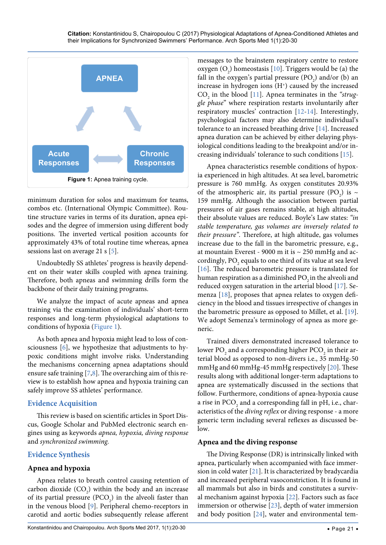<span id="page-1-0"></span>

minimum duration for solos and maximum for teams, combos etc. (International Olympic Committee). Routine structure varies in terms of its duration, apnea episodes and the degree of immersion using different body positions. The inverted vertical position accounts for approximately 43% of total routine time whereas, apnea sessions last on average 21 s [\[5\]](#page-8-0).

Undoubtedly SS athletes' progress is heavily dependent on their water skills coupled with apnea training. Therefore, both apneas and swimming drills form the backbone of their daily training programs.

We analyze the impact of acute apneas and apnea training via the examination of individuals' short-term responses and long-term physiological adaptations to conditions of hypoxia ([Figure 1](#page-1-0)).

As both apnea and hypoxia might lead to loss of consciousness [\[6](#page-8-1)], we hypothesize that adjustments to hypoxic conditions might involve risks. Understanding the mechanisms concerning apnea adaptations should ensure safe training [\[7,](#page-8-2)[8](#page-8-3)]. The overarching aim of this review is to establish how apnea and hypoxia training can safely improve SS athletes' performance.

# **Evidence Acquisition**

This review is based on scientific articles in Sport Discus, Google Scholar and PubMed electronic search engines using as keywords *apnea, hypoxia, diving response*  and *synchronized swimming.*

# **Evidence Synthesis**

# **Apnea and hypoxia**

Apnea relates to breath control causing retention of carbon dioxide  $(CO_2)$  within the body and an increase of its partial pressure  $(PCO<sub>2</sub>)$  in the alveoli faster than in the venous blood [\[9\]](#page-8-4). Peripheral chemo-receptors in carotid and aortic bodies subsequently release afferent

tolerance to an increased breathing drive [[14](#page-8-8)]. Increased apnea duration can be achieved by either delaying physiological conditions leading to the breakpoint and/or increasing individuals' tolerance to such conditions [\[15](#page-8-9)]. Apnea characteristics resemble conditions of hypoxia experienced in high altitudes. At sea level, barometric pressure is 760 mmHg. As oxygen constitutes 20.93%

of the atmospheric air, its partial pressure (PO<sub>2</sub>) is  $\sim$ 159 mmHg. Although the association between partial pressures of air gases remains stable, at high altitudes, their absolute values are reduced. Boyle's Law states: *"in stable temperature, gas volumes are inversely related to their pressure"*. Therefore, at high altitude, gas volumes increase due to the fall in the barometric pressure, e.g., at mountain Everest - 9000 m it is  $\sim$  250 mmHg and accordingly,  $\text{PO}_2$  equals to one third of its value at sea level [[16](#page-8-10)]. The reduced barometric pressure is translated for human respiration as a diminished  $PO<sub>2</sub>$  in the alveoli and reduced oxygen saturation in the arterial blood [\[17\]](#page-8-11). Semenza [[18](#page-8-12)], proposes that apnea relates to oxygen deficiency in the blood and tissues irrespective of changes in the barometric pressure as opposed to Millet, et al. [[19](#page-8-13)]. We adopt Semenza's terminology of apnea as more generic.

messages to the brainstem respiratory centre to restore oxygen  $(O_2)$  homeostasis [\[10\]](#page-8-5). Triggers would be (a) the fall in the oxygen's partial pressure  $(PO<sub>2</sub>)$  and/or (b) an increase in hydrogen ions (H<sup>+</sup>) caused by the increased CO<sub>2</sub> in the blood [[11](#page-8-6)]. Apnea terminates in the "strug*gle phase*" where respiration restarts involuntarily after respiratory muscles' contraction [[12](#page-8-7)[-14\]](#page-8-8). Interestingly, psychological factors may also determine individual's

Trained divers demonstrated increased tolerance to lower PO $_{_2}$  and a corresponding higher PCO $_{_2}$  in their arterial blood as opposed to non-divers i.e., 35 mmHg-50 mmHg and 60 mmHg-45 mmHg respectively [[20](#page-8-14)]. These results along with additional longer-term adaptations to apnea are systematically discussed in the sections that follow. Furthermore, conditions of apnea-hypoxia cause a rise in  $\mathrm{PCO}_2$  and a corresponding fall in pH, i.e., characteristics of the *diving reflex* or diving response - a more generic term including several reflexes as discussed below.

#### **Apnea and the diving response**

The Diving Response (DR) is intrinsically linked with apnea, particularly when accompanied with face immersion in cold water [\[21\]](#page-8-15). It is characterized by bradycardia and increased peripheral vasoconstriction. It is found in all mammals but also in birds and constitutes a survival mechanism against hypoxia [\[22\]](#page-8-16). Factors such as face immersion or otherwise [[23](#page-8-17)], depth of water immersion and body position [\[24\]](#page-8-18), water and environmental tem-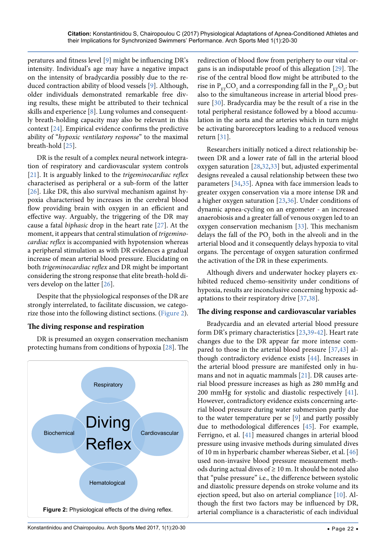peratures and fitness level [[9](#page-8-4)] might be influencing DR's intensity. Individual's age may have a negative impact on the intensity of bradycardia possibly due to the reduced contraction ability of blood vessels [[9\]](#page-8-4). Although, older individuals demonstrated remarkable free diving results, these might be attributed to their technical skills and experience [\[8](#page-8-3)]. Lung volumes and consequently breath-holding capacity may also be relevant in this context [[24](#page-8-18)]. Empirical evidence confirms the predictive ability of "*hypoxic ventilatory response*" to the maximal breath-hold [\[25\]](#page-8-34).

DR is the result of a complex neural network integration of respiratory and cardiovascular system controls [\[21\]](#page-8-15). It is arguably linked to the *trigeminocardiac reflex* characterised as peripheral or a sub-form of the latter [\[26\]](#page-8-35). Like DR, this also survival mechanism against hypoxia characterised by increases in the cerebral blood flow providing brain with oxygen in an efficient and effective way. Arguably, the triggering of the DR may cause a fatal *biphasic* drop in the heart rate [\[27](#page-8-36)]. At the moment, it appears that central stimulation of *trigeminocardiac reflex* is accompanied with hypotension whereas a peripheral stimulation as with DR evidences a gradual increase of mean arterial blood pressure. Elucidating on both *trigeminocardiac reflex* and DR might be important considering the strong response that elite breath-hold divers develop on the latter [[26](#page-8-35)].

Despite that the physiological responses of the DR are strongly interrelated, to facilitate discussion, we categorize those into the following distinct sections. ([Figure 2](#page-2-0)).

# **The diving response and respiration**

DR is presumed an oxygen conservation mechanism protecting humans from conditions of hypoxia [[28](#page-8-22)]. The

<span id="page-2-0"></span>

redirection of blood flow from periphery to our vital organs is an indisputable proof of this allegation [[29](#page-8-19)]. The rise of the central blood flow might be attributed to the rise in  $P_{ET}CO_2$  and a corresponding fall in the  $P_{ET}O_2$ ; but also to the simultaneous increase in arterial blood pressure [\[30\]](#page-8-20). Bradycardia may be the result of a rise in the total peripheral resistance followed by a blood accumulation in the aorta and the arteries which in turn might be activating baroreceptors leading to a reduced venous return [\[31\]](#page-8-21).

Researchers initially noticed a direct relationship between DR and a lower rate of fall in the arterial blood oxygen saturation [[28,](#page-8-22)[32,](#page-8-23)[33\]](#page-8-24) but, adjusted experimental designs revealed a causal relationship between these two parameters [[34](#page-8-25),[35](#page-8-26)]. Apnea with face immersion leads to greater oxygen conservation via a more intense DR and a higher oxygen saturation [[23](#page-8-17),[36](#page-8-27)]. Under conditions of dynamic apnea-cycling on an ergometer - an increased anaerobiosis and a greater fall of venous oxygen led to an oxygen conservation mechanism [[33](#page-8-24)]. This mechanism delays the fall of the  $PO_2$  both in the alveoli and in the arterial blood and it consequently delays hypoxia to vital organs. The percentage of oxygen saturation confirmed the activation of the DR in these experiments.

Although divers and underwater hockey players exhibited reduced chemo-sensitivity under conditions of hypoxia, results are inconclusive concerning hypoxic adaptations to their respiratory drive [[37](#page-8-28),[38](#page-8-29)].

#### **The diving response and cardiovascular variables**

Bradycardia and an elevated arterial blood pressure form DR's primary characteristics [[23](#page-8-17),[39-](#page-8-30)[42](#page-8-31)]. Heart rate changes due to the DR appear far more intense compared to those in the arterial blood pressure [\[37](#page-8-28)[,43](#page-8-32)] although contradictory evidence exists [\[44](#page-9-0)]. Increases in the arterial blood pressure are manifested only in humans and not in aquatic mammals [\[21\]](#page-8-15). DR causes arterial blood pressure increases as high as 280 mmHg and 200 mmHg for systolic and diastolic respectively [[41](#page-8-33)]. However, contradictory evidence exists concerning arterial blood pressure during water submersion partly due to the water temperature per se [[9\]](#page-8-4) and partly possibly due to methodological differences [[45](#page-9-1)]. For example, Ferrigno, et al. [[41](#page-8-33)] measured changes in arterial blood pressure using invasive methods during simulated dives of 10 m in hyperbaric chamber whereas Sieber, et al. [\[46\]](#page-9-2) used non-invasive blood pressure measurement methods during actual dives of  $\geq 10$  m. It should be noted also that "pulse pressure" i.e., the difference between systolic and diastolic pressure depends on stroke volume and its ejection speed, but also on arterial compliance [[10](#page-8-5)]. Although the first two factors may be influenced by DR, arterial compliance is a characteristic of each individual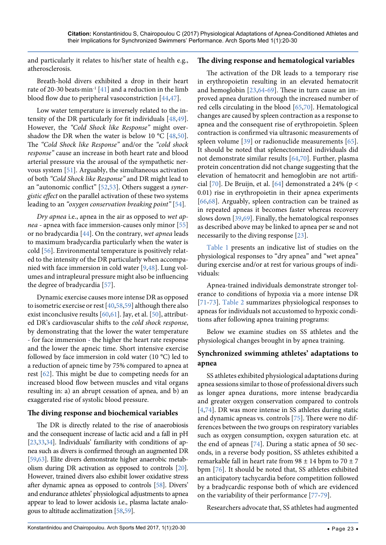and particularly it relates to his/her state of health e.g., atherosclerosis.

Breath-hold divers exhibited a drop in their heart rate of 20-30 beats $\cdot$ min<sup>-1</sup> [[41](#page-8-33)] and a reduction in the limb blood flow due to peripheral vasoconstriction [\[44](#page-9-0)[,47\]](#page-9-15).

Low water temperature is inversely related to the intensity of the DR particularly for fit individuals [[48](#page-9-16),[49](#page-9-17)]. However, the *"Cold Shock like Response"* might over-shadow the DR when the water is below 10 °C [[48](#page-9-16),[50](#page-9-18)]. The *"Cold Shock like Response"* and/or the *"cold shock response"* cause an increase in both heart rate and blood arterial pressure via the arousal of the sympathetic nervous system [[51](#page-9-19)]. Arguably, the simultaneous activation of both *"Cold Shock like Response"* and DR might lead to an "autonomic conflict" [\[52,](#page-9-20)[53](#page-9-21)]. Others suggest a *synergistic effect* on the parallel activation of these two systems leading to an *"oxygen conservation breaking point"* [\[54\]](#page-9-22)*.*

*Dry apnea* i.e., apnea in the air as opposed to *wet apnea* - apnea with face immersion-causes only minor [\[55\]](#page-9-23) or no bradycardia [\[44\]](#page-9-0). On the contrary, *wet apnea* leads to maximum bradycardia particularly when the water is cold [[56](#page-9-24)]. Environmental temperature is positively related to the intensity of the DR particularly when accompanied with face immersion in cold water [[9](#page-8-4)[,48](#page-9-16)]. Lung volumes and intrapleural pressure might also be influencing the degree of bradycardia [[57](#page-9-25)].

Dynamic exercise causes more intense DR as opposed to isometric exercise or rest [[40](#page-8-37),[58](#page-9-26),[59](#page-9-27)] although there also exist inconclusive results [\[60](#page-9-28)[,61\]](#page-9-29). Jay, et al. [\[50\]](#page-9-18), attributed DR's cardiovascular shifts to the *cold shock response*, by demonstrating that the lower the water temperature - for face immersion - the higher the heart rate response and the lower the apneic time. Short intensive exercise followed by face immersion in cold water (10 °C) led to a reduction of apneic time by 75% compared to apnea at rest [[62](#page-9-30)]. This might be due to competing needs for an increased blood flow between muscles and vital organs resulting in: a) an abrupt cessation of apnea, and b) an exaggerated rise of systolic blood pressure.

#### **The diving response and biochemical variables**

The DR is directly related to the rise of anaerobiosis and the consequent increase of lactic acid and a fall in pH [\[23](#page-8-17),[33,](#page-8-24)[34](#page-8-25)]. Individuals' familiarity with conditions of apnea such as divers is confirmed through an augmented DR [\[59](#page-9-27),[63\]](#page-9-31). Elite divers demonstrate higher anaerobic metabolism during DR activation as opposed to controls [\[20](#page-8-14)]. However, trained divers also exhibit lower oxidative stress after dynamic apnea as opposed to controls [[58\]](#page-9-26). Divers' and endurance athletes' physiological adjustments to apnea appear to lead to lower acidosis i.e., plasma lactate analogous to altitude acclimatization [\[58,](#page-9-26)[59\]](#page-9-27).

#### **The diving response and hematological variables**

The activation of the DR leads to a temporary rise in erythropoietin resulting in an elevated hematocrit and hemoglobin [[23](#page-8-17),[64](#page-9-3)[-69\]](#page-9-4). These in turn cause an improved apnea duration through the increased number of red cells circulating in the blood [\[65](#page-9-5)[,70\]](#page-9-6). Hematological changes are caused by spleen contraction as a response to apnea and the consequent rise of erythropoietin. Spleen contraction is confirmed via ultrasonic measurements of spleen volume [[39](#page-8-30)] or radionuclide measurements [[65](#page-9-5)]. It should be noted that splenectomized individuals did not demonstrate similar results [[64](#page-9-3),[70](#page-9-6)]. Further, plasma protein concentration did not change suggesting that the elevation of hematocrit and hemoglobin are not artificial [[70](#page-9-6)]. De Bruijn, et al. [\[64\]](#page-9-3) demonstrated a 24% (p < 0.01) rise in erythropoietin in their apnea experiments [[66](#page-9-7),[68](#page-9-8)]. Arguably, spleen contraction can be trained as in repeated apneas it becomes faster whereas recovery slows down [\[39,](#page-8-30)[69\]](#page-9-4). Finally, the hematological responses as described above may be linked to apnea per se and not necessarily to the diving response [[23](#page-8-17)].

Table 1 presents an indicative list of studies on the physiological responses to "dry apnea" and "wet apnea" during exercise and/or at rest for various groups of individuals:

Apnea-trained individuals demonstrate stronger tolerance to conditions of hypoxia via a more intense DR [[71](#page-9-9)[-73\]](#page-9-10). Table 2 summarizes physiological responses to apneas for individuals not accustomed to hypoxic conditions after following apnea training programs:

Below we examine studies on SS athletes and the physiological changes brought in by apnea training.

# **Synchronized swimming athletes' adaptations to apnea**

SS athletes exhibited physiological adaptations during apnea sessions similar to those of professional divers such as longer apnea durations, more intense bradycardia and greater oxygen conservation compared to controls [[4](#page-7-2)[,74\]](#page-9-11). DR was more intense in SS athletes during static and dynamic apneas vs. controls [[75\]](#page-9-12). There were no differences between the two groups on respiratory variables such as oxygen consumption, oxygen saturation etc. at the end of apneas [[74](#page-9-11)]. During a static apnea of 50 seconds, in a reverse body position, SS athletes exhibited a remarkable fall in heart rate from  $98 \pm 14$  bpm to  $70 \pm 7$ bpm [\[76\]](#page-9-13). It should be noted that, SS athletes exhibited an anticipatory tachycardia before competition followed by a bradycardic response both of which are evidenced on the variability of their performance [[77](#page-9-14)[-79\]](#page-10-0).

Researchers advocate that, SS athletes had augmented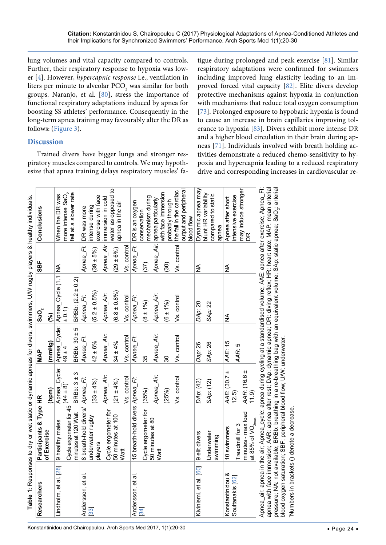lung volumes and vital capacity compared to controls. Further, their respiratory response to hypoxia was lower [\[4](#page-7-2)]. However, *hypercapnic response* i.e., ventilation in liters per minute to alveolar  $\mathtt{PCO}_2$  was similar for both groups. Naranjo, et al. [\[80\]](#page-10-4), stress the importance of functional respiratory adaptations induced by apnea for boosting SS athletes' performance. Consequently in the long-term apnea training may favourably alter the DR as follows: ([Figure 3](#page-6-0)).

# **Discussion**

Trained divers have bigger lungs and stronger respiratory muscles compared to controls. We may hypothesize that apnea training delays respiratory muscles' fatigue during prolonged and peak exercise [\[81\]](#page-10-1). Similar respiratory adaptations were confirmed for swimmers including improved lung elasticity leading to an improved forced vital capacity [\[82\]](#page-10-2). Elite divers develop protective mechanisms against hypoxia in conjunction with mechanisms that reduce total oxygen consumption [[73](#page-9-10)]. Prolonged exposure to hypobaric hypoxia is found to cause an increase in brain capillaries improving tolerance to hypoxia [[83\]](#page-10-3). Divers exhibit more intense DR and a higher blood circulation in their brain during apneas [[71](#page-9-9)]. Individuals involved with breath holding activities demonstrate a reduced chemo-sensitivity to hypoxia and hypercapnia leading to a reduced respiratory drive and corresponding increases in cardiovascular re-

blood oxygen saturation; SBF: peripheral blood flow; U/W: underwater.

blood oxygen saturation; SBF: peripheral blood flow; U/W: underwater.

\*Numbers in brackets () denote a decrease.

Numbers in brackets () denote a decrease

|                        | Table 1: Responses to dry or wet static or dynamic apneas for divers, swimmers, U/W rugby players & healthy individuals                                                                                                           |                       |                  |                                  |                   |                                            |
|------------------------|-----------------------------------------------------------------------------------------------------------------------------------------------------------------------------------------------------------------------------------|-----------------------|------------------|----------------------------------|-------------------|--------------------------------------------|
| Researchers            | Participants & Type HR                                                                                                                                                                                                            |                       | <b>MAP</b>       | $ $ SaO $_{2}$                   | SBF               | Conclusions                                |
|                        | of Exercise                                                                                                                                                                                                                       | (bpm)                 | (mmHg)           | $\mathcal{S}$                    |                   |                                            |
| Lindholm, et al. [28]  | 9 healthy males                                                                                                                                                                                                                   | Apnea_Cycle:          |                  | Apnea_Cycle: Apnea_Cycle (1.1 NA |                   | When the DR was                            |
|                        | Cycle ergometer for $45 \overline{(44 \pm 8)}$                                                                                                                                                                                    |                       | $49 \pm 4$       | $\pm 0.1$                        |                   | more intense SaO $_2$                      |
|                        | minutes at 120 Watt                                                                                                                                                                                                               | BRBb: $3±3$           | BRBb: $30 \pm 5$ | BRBb: $(2.2 \pm 0.2)$            |                   | fell at a slower rate                      |
| Andersson, et al.      | 8 breath-hold divers/ Apnea_FI:                                                                                                                                                                                                   |                       | Apnea_FI:        | Apnea_FI:                        | Apnea_FI:         | DR was more                                |
| 33                     | underwater rugby<br>players                                                                                                                                                                                                       | $(33 \pm 4\%)$        | $42 \pm 6\%$     | $(5.2 \pm 0.5\%)$                | $(39 \pm 5\%)$    | exercise with face<br>intense during       |
|                        | Cycle ergometer for                                                                                                                                                                                                               | Apnea_Air:            | Apnea_Air.       | Apnea_Air:                       | Apnea_Air         | immersion in cold                          |
|                        | 50 minutes at 100                                                                                                                                                                                                                 | $(21 \pm 4\%)$        | $34 \pm 4\%$     | $(6.8 \pm 0.8\%)$                | $(29 \pm 6\%)$    | water as opposed to<br>apnea in the air    |
|                        | Watt                                                                                                                                                                                                                              | Vs. control           | Vs. control      | Vs. control                      | Vs. control       |                                            |
| Andersson, et al.      | 15 breath-hold divers Apnea_FI:                                                                                                                                                                                                   |                       | Apnea_FI:        | Apnea_FI:                        | Apnea_FI:         | DR is an oxygen                            |
| 34                     | Cycle ergometer for                                                                                                                                                                                                               | (35%)                 | 35               | $(8 + 1\%)$                      | (37)              | mechanism during<br>conservation           |
|                        | 50 minutes at 80<br>Watt                                                                                                                                                                                                          | Apnea_Air.            | Apnea_Air.       | Apnea_Air.                       |                   | Apnea_Air: apnea particularly              |
|                        |                                                                                                                                                                                                                                   | (25%)                 | 30               | $(6 \pm 1\%)$                    | $\left(30\right)$ | with face immersion<br>probably through    |
|                        |                                                                                                                                                                                                                                   | Vs. control           | Vs. control      | Vs. control                      | Vs. control       | the fall in the cardiac                    |
|                        |                                                                                                                                                                                                                                   |                       |                  |                                  |                   | output and peripheral<br>blood flow        |
| Kiviniemi, et al. [60] | 9 elit divers                                                                                                                                                                                                                     | DAp: (42)             | Dap: 26          | DAp: 20                          | ≸                 | Dynamic apnea may                          |
|                        | <b>Underwater</b><br>swimming                                                                                                                                                                                                     | SAp: (12)             | SAp: 26          | SAp: 22                          |                   | blunt HR variability<br>compared to static |
|                        |                                                                                                                                                                                                                                   |                       |                  |                                  |                   | apnea                                      |
| Konstantinidou &       | 10 swimmers                                                                                                                                                                                                                       | $\pm$<br>AAE: (30.7   | AAE: 15          | ≨                                | ≸                 | Apnea after short                          |
| Soultanakis [62]       | Treadmill for 3                                                                                                                                                                                                                   | 12.5)                 | AAR: 5           |                                  |                   | intensive exercise                         |
|                        | minutes - max load                                                                                                                                                                                                                | AAR: (16.6 ±<br>11.9) |                  |                                  |                   | may induce stronger<br>DR                  |
|                        | at 85% of $VO_{2max}$                                                                                                                                                                                                             |                       |                  |                                  |                   |                                            |
|                        | Apnea_air: apnea in the air; Apnea_cycle: apnea during cycling at a standardised volume; AAE: apnea after exercise; Apnea_Fi:                                                                                                     |                       |                  |                                  |                   |                                            |
|                        | apnea with face immersion; AAR: apnea after rest; DAp: dynamic apnea; DR: diving reflex; HR: heart rate; MAP: mean arterial<br>pressure; NA: not available; BRBb: breathing in a re-breathing bag with an equivalent volume; SAp: |                       |                  |                                  |                   |                                            |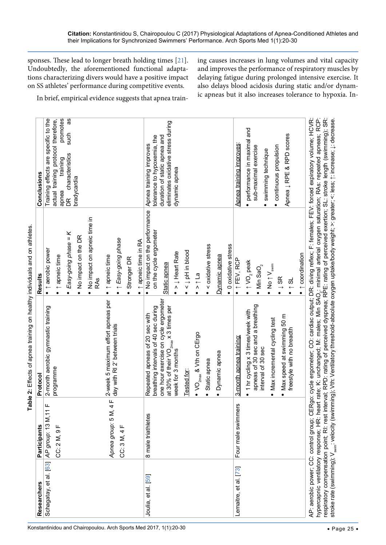| sponses. These lead to longer breath holding times $[21]$ .<br>ing causes increases in lung volumes and vital capacity<br>Undoubtedly, the aforementioned functional adapta-<br>and improves the performance of respiratory muscles by<br>delaying fatigue during prolonged intensive exercise. It<br>tions characterizing divers would have a positive impact<br>also delays blood acidosis during static and/or dynam-<br>on SS athletes' performance during competitive events.<br>ic apneas but it also increases tolerance to hypoxia. In-<br>In brief, empirical evidence suggests that apnea train-<br>promotes<br>ω<br>Training effects are specific to the<br>actual training protocol therefore,<br>eliminates oxidative stress during<br>and<br>such<br>Apnea $\downarrow$ RPE & RPD scores<br>tolerance to hypoxemia, the<br>duration of static apnea and<br>performance in maximal<br>Apnea training improves<br>Apnea training improves<br>sub-maximal exercise<br>· continuous propulsion<br>swimming technique<br>DR characteristics<br>training<br>dynamic apnea<br>bradycardia<br>apnea<br>$\bullet$<br>. No impact on the performance<br>No impact on apneic time in<br>RAs<br>on the cycle ergometer<br>Easy-going phase = K<br>No impact on the DR<br>1 Easy-going phase<br>↑ apneic time in RA<br>< oxidative stress<br>• 0 oxidative stress<br>· t aerobic power<br>ooqqui Hot 1<br>> J Heart Rate<br>$\bullet$ $\uparrow$ coordination<br>t apneic time<br>Dynamic apnea<br>t apneic time<br>Stronger DR<br>T FEV, RCP<br>• $\uparrow$ VO <sub>2</sub> peak<br>Static apnea<br>• No $\uparrow$ V <sub>swim</sub><br>$\bullet$ Min SaO <sub>2</sub><br>$\geq \uparrow$ La<br>$\bullet$ $\downarrow$ SR<br>$-$ 31<br>$\bullet$<br>$\bullet$<br>$\bullet$<br>$\bullet$<br>$\bullet$<br>$\bullet$<br>one hour exercise on cycle ergometer<br>2-week 5 maximum effort apneas per<br>apneas of 30 sec and a breathing<br>rastic training<br>breathing intervals of 40 sec during<br>x 3 times per<br>1 hr cycling x 3 times/week with<br>Repeated apneas of 20 sec with<br>· Max speed at swimming 50 m<br>Max incremental cycling test<br>day with RI 2' between trials<br>dipe<br>$\beta$<br>3-month apnea training:<br>at 30% of their VO $_{2\text{max}}$<br>week for 3 months<br>• $VO_{2max}$ & Vth on $CEr$<br>freestyle with no bre<br>2-month aerobic gymr<br>interval of 30 sec<br>· Dynamic apnea<br>· Static apnea<br>programme<br><b>Tested for</b><br>$\bullet$<br>Apnea group: 5 M, 4 F<br>Four male swimmers<br>AP group: 13 M, 11 F<br>8 male triathletes<br>щ<br>CC: 3 M, 4 F<br>CC: 2 M, 9<br>Schagatay, et al. [63]<br>Lemaitre, et al. [73]<br>Joulia, et al. [59] | Researchers | Participants | Protocol | Results | Conclusions |  |
|-----------------------------------------------------------------------------------------------------------------------------------------------------------------------------------------------------------------------------------------------------------------------------------------------------------------------------------------------------------------------------------------------------------------------------------------------------------------------------------------------------------------------------------------------------------------------------------------------------------------------------------------------------------------------------------------------------------------------------------------------------------------------------------------------------------------------------------------------------------------------------------------------------------------------------------------------------------------------------------------------------------------------------------------------------------------------------------------------------------------------------------------------------------------------------------------------------------------------------------------------------------------------------------------------------------------------------------------------------------------------------------------------------------------------------------------------------------------------------------------------------------------------------------------------------------------------------------------------------------------------------------------------------------------------------------------------------------------------------------------------------------------------------------------------------------------------------------------------------------------------------------------------------------------------------------------------------------------------------------------------------------------------------------------------------------------------------------------------------------------------------------------------------------------------------------------------------------------------------------------------------------------------------------------------------------------------------------------------------------------------------------------------------------------------------------------------------------------------------------------------------------------------------------------------------------------------------------------------------------------------------------------------------------------------------------------------------------|-------------|--------------|----------|---------|-------------|--|
|                                                                                                                                                                                                                                                                                                                                                                                                                                                                                                                                                                                                                                                                                                                                                                                                                                                                                                                                                                                                                                                                                                                                                                                                                                                                                                                                                                                                                                                                                                                                                                                                                                                                                                                                                                                                                                                                                                                                                                                                                                                                                                                                                                                                                                                                                                                                                                                                                                                                                                                                                                                                                                                                                                           |             |              |          |         |             |  |
|                                                                                                                                                                                                                                                                                                                                                                                                                                                                                                                                                                                                                                                                                                                                                                                                                                                                                                                                                                                                                                                                                                                                                                                                                                                                                                                                                                                                                                                                                                                                                                                                                                                                                                                                                                                                                                                                                                                                                                                                                                                                                                                                                                                                                                                                                                                                                                                                                                                                                                                                                                                                                                                                                                           |             |              |          |         |             |  |
|                                                                                                                                                                                                                                                                                                                                                                                                                                                                                                                                                                                                                                                                                                                                                                                                                                                                                                                                                                                                                                                                                                                                                                                                                                                                                                                                                                                                                                                                                                                                                                                                                                                                                                                                                                                                                                                                                                                                                                                                                                                                                                                                                                                                                                                                                                                                                                                                                                                                                                                                                                                                                                                                                                           |             |              |          |         |             |  |
|                                                                                                                                                                                                                                                                                                                                                                                                                                                                                                                                                                                                                                                                                                                                                                                                                                                                                                                                                                                                                                                                                                                                                                                                                                                                                                                                                                                                                                                                                                                                                                                                                                                                                                                                                                                                                                                                                                                                                                                                                                                                                                                                                                                                                                                                                                                                                                                                                                                                                                                                                                                                                                                                                                           |             |              |          |         |             |  |
|                                                                                                                                                                                                                                                                                                                                                                                                                                                                                                                                                                                                                                                                                                                                                                                                                                                                                                                                                                                                                                                                                                                                                                                                                                                                                                                                                                                                                                                                                                                                                                                                                                                                                                                                                                                                                                                                                                                                                                                                                                                                                                                                                                                                                                                                                                                                                                                                                                                                                                                                                                                                                                                                                                           |             |              |          |         |             |  |
|                                                                                                                                                                                                                                                                                                                                                                                                                                                                                                                                                                                                                                                                                                                                                                                                                                                                                                                                                                                                                                                                                                                                                                                                                                                                                                                                                                                                                                                                                                                                                                                                                                                                                                                                                                                                                                                                                                                                                                                                                                                                                                                                                                                                                                                                                                                                                                                                                                                                                                                                                                                                                                                                                                           |             |              |          |         |             |  |
|                                                                                                                                                                                                                                                                                                                                                                                                                                                                                                                                                                                                                                                                                                                                                                                                                                                                                                                                                                                                                                                                                                                                                                                                                                                                                                                                                                                                                                                                                                                                                                                                                                                                                                                                                                                                                                                                                                                                                                                                                                                                                                                                                                                                                                                                                                                                                                                                                                                                                                                                                                                                                                                                                                           |             |              |          |         |             |  |
|                                                                                                                                                                                                                                                                                                                                                                                                                                                                                                                                                                                                                                                                                                                                                                                                                                                                                                                                                                                                                                                                                                                                                                                                                                                                                                                                                                                                                                                                                                                                                                                                                                                                                                                                                                                                                                                                                                                                                                                                                                                                                                                                                                                                                                                                                                                                                                                                                                                                                                                                                                                                                                                                                                           |             |              |          |         |             |  |
|                                                                                                                                                                                                                                                                                                                                                                                                                                                                                                                                                                                                                                                                                                                                                                                                                                                                                                                                                                                                                                                                                                                                                                                                                                                                                                                                                                                                                                                                                                                                                                                                                                                                                                                                                                                                                                                                                                                                                                                                                                                                                                                                                                                                                                                                                                                                                                                                                                                                                                                                                                                                                                                                                                           |             |              |          |         |             |  |
|                                                                                                                                                                                                                                                                                                                                                                                                                                                                                                                                                                                                                                                                                                                                                                                                                                                                                                                                                                                                                                                                                                                                                                                                                                                                                                                                                                                                                                                                                                                                                                                                                                                                                                                                                                                                                                                                                                                                                                                                                                                                                                                                                                                                                                                                                                                                                                                                                                                                                                                                                                                                                                                                                                           |             |              |          |         |             |  |
|                                                                                                                                                                                                                                                                                                                                                                                                                                                                                                                                                                                                                                                                                                                                                                                                                                                                                                                                                                                                                                                                                                                                                                                                                                                                                                                                                                                                                                                                                                                                                                                                                                                                                                                                                                                                                                                                                                                                                                                                                                                                                                                                                                                                                                                                                                                                                                                                                                                                                                                                                                                                                                                                                                           |             |              |          |         |             |  |
|                                                                                                                                                                                                                                                                                                                                                                                                                                                                                                                                                                                                                                                                                                                                                                                                                                                                                                                                                                                                                                                                                                                                                                                                                                                                                                                                                                                                                                                                                                                                                                                                                                                                                                                                                                                                                                                                                                                                                                                                                                                                                                                                                                                                                                                                                                                                                                                                                                                                                                                                                                                                                                                                                                           |             |              |          |         |             |  |
|                                                                                                                                                                                                                                                                                                                                                                                                                                                                                                                                                                                                                                                                                                                                                                                                                                                                                                                                                                                                                                                                                                                                                                                                                                                                                                                                                                                                                                                                                                                                                                                                                                                                                                                                                                                                                                                                                                                                                                                                                                                                                                                                                                                                                                                                                                                                                                                                                                                                                                                                                                                                                                                                                                           |             |              |          |         |             |  |
|                                                                                                                                                                                                                                                                                                                                                                                                                                                                                                                                                                                                                                                                                                                                                                                                                                                                                                                                                                                                                                                                                                                                                                                                                                                                                                                                                                                                                                                                                                                                                                                                                                                                                                                                                                                                                                                                                                                                                                                                                                                                                                                                                                                                                                                                                                                                                                                                                                                                                                                                                                                                                                                                                                           |             |              |          |         |             |  |
|                                                                                                                                                                                                                                                                                                                                                                                                                                                                                                                                                                                                                                                                                                                                                                                                                                                                                                                                                                                                                                                                                                                                                                                                                                                                                                                                                                                                                                                                                                                                                                                                                                                                                                                                                                                                                                                                                                                                                                                                                                                                                                                                                                                                                                                                                                                                                                                                                                                                                                                                                                                                                                                                                                           |             |              |          |         |             |  |
|                                                                                                                                                                                                                                                                                                                                                                                                                                                                                                                                                                                                                                                                                                                                                                                                                                                                                                                                                                                                                                                                                                                                                                                                                                                                                                                                                                                                                                                                                                                                                                                                                                                                                                                                                                                                                                                                                                                                                                                                                                                                                                                                                                                                                                                                                                                                                                                                                                                                                                                                                                                                                                                                                                           |             |              |          |         |             |  |
|                                                                                                                                                                                                                                                                                                                                                                                                                                                                                                                                                                                                                                                                                                                                                                                                                                                                                                                                                                                                                                                                                                                                                                                                                                                                                                                                                                                                                                                                                                                                                                                                                                                                                                                                                                                                                                                                                                                                                                                                                                                                                                                                                                                                                                                                                                                                                                                                                                                                                                                                                                                                                                                                                                           |             |              |          |         |             |  |
|                                                                                                                                                                                                                                                                                                                                                                                                                                                                                                                                                                                                                                                                                                                                                                                                                                                                                                                                                                                                                                                                                                                                                                                                                                                                                                                                                                                                                                                                                                                                                                                                                                                                                                                                                                                                                                                                                                                                                                                                                                                                                                                                                                                                                                                                                                                                                                                                                                                                                                                                                                                                                                                                                                           |             |              |          |         |             |  |
|                                                                                                                                                                                                                                                                                                                                                                                                                                                                                                                                                                                                                                                                                                                                                                                                                                                                                                                                                                                                                                                                                                                                                                                                                                                                                                                                                                                                                                                                                                                                                                                                                                                                                                                                                                                                                                                                                                                                                                                                                                                                                                                                                                                                                                                                                                                                                                                                                                                                                                                                                                                                                                                                                                           |             |              |          |         |             |  |
|                                                                                                                                                                                                                                                                                                                                                                                                                                                                                                                                                                                                                                                                                                                                                                                                                                                                                                                                                                                                                                                                                                                                                                                                                                                                                                                                                                                                                                                                                                                                                                                                                                                                                                                                                                                                                                                                                                                                                                                                                                                                                                                                                                                                                                                                                                                                                                                                                                                                                                                                                                                                                                                                                                           |             |              |          |         |             |  |
|                                                                                                                                                                                                                                                                                                                                                                                                                                                                                                                                                                                                                                                                                                                                                                                                                                                                                                                                                                                                                                                                                                                                                                                                                                                                                                                                                                                                                                                                                                                                                                                                                                                                                                                                                                                                                                                                                                                                                                                                                                                                                                                                                                                                                                                                                                                                                                                                                                                                                                                                                                                                                                                                                                           |             |              |          |         |             |  |
|                                                                                                                                                                                                                                                                                                                                                                                                                                                                                                                                                                                                                                                                                                                                                                                                                                                                                                                                                                                                                                                                                                                                                                                                                                                                                                                                                                                                                                                                                                                                                                                                                                                                                                                                                                                                                                                                                                                                                                                                                                                                                                                                                                                                                                                                                                                                                                                                                                                                                                                                                                                                                                                                                                           |             |              |          |         |             |  |
|                                                                                                                                                                                                                                                                                                                                                                                                                                                                                                                                                                                                                                                                                                                                                                                                                                                                                                                                                                                                                                                                                                                                                                                                                                                                                                                                                                                                                                                                                                                                                                                                                                                                                                                                                                                                                                                                                                                                                                                                                                                                                                                                                                                                                                                                                                                                                                                                                                                                                                                                                                                                                                                                                                           |             |              |          |         |             |  |
| cardiac output; DR: diving reflex;                                                                                                                                                                                                                                                                                                                                                                                                                                                                                                                                                                                                                                                                                                                                                                                                                                                                                                                                                                                                                                                                                                                                                                                                                                                                                                                                                                                                                                                                                                                                                                                                                                                                                                                                                                                                                                                                                                                                                                                                                                                                                                                                                                                                                                                                                                                                                                                                                                                                                                                                                                                                                                                                        |             |              |          |         |             |  |
|                                                                                                                                                                                                                                                                                                                                                                                                                                                                                                                                                                                                                                                                                                                                                                                                                                                                                                                                                                                                                                                                                                                                                                                                                                                                                                                                                                                                                                                                                                                                                                                                                                                                                                                                                                                                                                                                                                                                                                                                                                                                                                                                                                                                                                                                                                                                                                                                                                                                                                                                                                                                                                                                                                           |             |              |          |         |             |  |
|                                                                                                                                                                                                                                                                                                                                                                                                                                                                                                                                                                                                                                                                                                                                                                                                                                                                                                                                                                                                                                                                                                                                                                                                                                                                                                                                                                                                                                                                                                                                                                                                                                                                                                                                                                                                                                                                                                                                                                                                                                                                                                                                                                                                                                                                                                                                                                                                                                                                                                                                                                                                                                                                                                           |             |              |          |         |             |  |

**Citation:** Konstantinidou S, Chairopoulou C (2017) Physiological Adaptations of Apnea-Conditioned Athletes and their Implications for Synchronized Swimmers' Performance. Arch Sports Med 1(1):20-30

|                        |                                    | able 2: Effects of apnea training on healthy individuals and on athletes                                                                                                                                                                                                                                                 |                                                          |                                                                      |
|------------------------|------------------------------------|--------------------------------------------------------------------------------------------------------------------------------------------------------------------------------------------------------------------------------------------------------------------------------------------------------------------------|----------------------------------------------------------|----------------------------------------------------------------------|
| Researchers            | Participants                       | Protocol                                                                                                                                                                                                                                                                                                                 | Results                                                  | Conclusions                                                          |
| Schagatay, et al. [63] | щ<br>AP group: 13 M, 11            | 2-month aerobic gymnastic training                                                                                                                                                                                                                                                                                       | t aerobic power                                          | Training effects are specific to the                                 |
|                        | CC: 2 M, 9 F                       | programme                                                                                                                                                                                                                                                                                                                | t apneic time                                            | promotes<br>actual training protocol therefore,<br>training<br>apnea |
|                        |                                    |                                                                                                                                                                                                                                                                                                                          | ● Easy-going phase = K                                   | 8g<br>such<br>DR characteristics                                     |
|                        |                                    |                                                                                                                                                                                                                                                                                                                          | No impact on the DR<br>$\bullet$                         | bradycardia                                                          |
|                        |                                    |                                                                                                                                                                                                                                                                                                                          | No impact on apneic time in<br>RAs                       |                                                                      |
|                        | $\frac{1}{4}$<br>Apnea group: 5 M, | 2-week 5 maximum effort apneas per                                                                                                                                                                                                                                                                                       | t apneic time<br>$\bullet$                               |                                                                      |
|                        | CC: 3 M, 4 F                       | day with RI 2' between trials                                                                                                                                                                                                                                                                                            | 1 Easy-going phase                                       |                                                                      |
|                        |                                    |                                                                                                                                                                                                                                                                                                                          | Stronger DR                                              |                                                                      |
|                        |                                    |                                                                                                                                                                                                                                                                                                                          | ↑ apneic time in RA<br>$\bullet$                         |                                                                      |
| Joulia, et al. [59]    | 8 male triathletes                 | breathing intervals of 40 sec during<br>Repeated apneas of 20 sec with                                                                                                                                                                                                                                                   | . No impact on the performance<br>on the cycle ergometer | tolerance to hypoxemia, the<br>Apnea training improves               |
|                        |                                    | one hour exercise on cycle ergometer                                                                                                                                                                                                                                                                                     | Static apnea                                             | duration of static apnea and                                         |
|                        |                                    | at 30% of their VO <sub>2max</sub> x 3 times per<br>week for 3 months                                                                                                                                                                                                                                                    | > Į Heart Rate                                           | eliminates oxidative stress during<br>dynamic apnea                  |
|                        |                                    | <b>Tested for</b>                                                                                                                                                                                                                                                                                                        | < 1 pH in blood                                          |                                                                      |
|                        |                                    | • VO <sub>2max</sub> & Vth on CErgo                                                                                                                                                                                                                                                                                      | $\epsilon$ ] $\downarrow$ <                              |                                                                      |
|                        |                                    | · Static apnea                                                                                                                                                                                                                                                                                                           | < oxidative stress                                       |                                                                      |
|                        |                                    | · Dynamic apnea                                                                                                                                                                                                                                                                                                          | Dynamic apnea                                            |                                                                      |
|                        |                                    |                                                                                                                                                                                                                                                                                                                          | • 0 oxidative stress                                     |                                                                      |
| Lemaitre, et al. [73]  | <b>SD</b><br>Four male swimmer     | 3-month apnea training:                                                                                                                                                                                                                                                                                                  | $\bullet$ $\uparrow$ FEV, RCP                            | Apnea training improves                                              |
|                        |                                    | 1 hr cycling x 3 times/week with                                                                                                                                                                                                                                                                                         | • $\uparrow$ VO <sub>2</sub> peak                        | · performance in maximal and                                         |
|                        |                                    | apneas of 30 sec and a breathing<br>interval of 30 sec                                                                                                                                                                                                                                                                   | $\bullet$ Min SaO <sub>2</sub>                           | sub-maximal exercise                                                 |
|                        |                                    | Max incremental cycling test<br>$\bullet$                                                                                                                                                                                                                                                                                | $\bullet$ No $\uparrow$ $\bigvee_{\mathsf{swim}}$        | · swimming technique                                                 |
|                        |                                    | $\bullet$                                                                                                                                                                                                                                                                                                                | $\bullet \downarrow$ SR                                  | · continuous propulsion                                              |
|                        |                                    | Max speed at swimming 50 m<br>freestyle with no breadth                                                                                                                                                                                                                                                                  | $-$ 35                                                   | Apnea $\downarrow$ RPE & RPD scores                                  |
|                        |                                    |                                                                                                                                                                                                                                                                                                                          | $\bullet$ $\uparrow$ coordination                        |                                                                      |
|                        |                                    | hypercapnic ventilatory response; HR: heart rate; K: unchanged; M: males; Min SAO <sub>2</sub> : minimal arterial oxygen saturation; RAs: repeated apneas; RCP:<br>AP: aerobic power; CC: control group; CERgo: cycle ergometer; CO: cardiac output; DR: diving reflex; F: females; FEV: forced expiratory volume; HCVR: |                                                          |                                                                      |
|                        |                                    | respiratory compensation point; RI: rest interval; RPD: rating of perceived dyspnea; RPE: rating of perceived exertion; SL: stroke length (swimming); SR:<br>stroke rate (swimming); V <sub>swim</sub> : velocity (swimming); Vth: Ventilat                                                                              |                                                          |                                                                      |

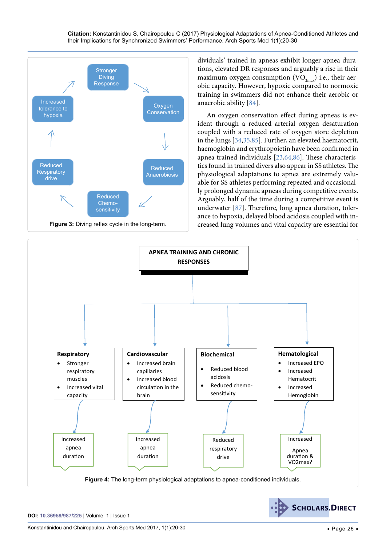<span id="page-6-0"></span>

dividuals' trained in apneas exhibit longer apnea durations, elevated DR responses and arguably a rise in their maximum oxygen consumption (VO<sub>2max</sub>) i.e., their aerobic capacity. However, hypoxic compared to normoxic training in swimmers did not enhance their aerobic or anaerobic ability [\[84\]](#page-10-5).

An oxygen conservation effect during apneas is evident through a reduced arterial oxygen desaturation coupled with a reduced rate of oxygen store depletion in the lungs [\[34,](#page-8-25)[35,](#page-8-26)[85\]](#page-10-6). Further, an elevated haematocrit, haemoglobin and erythropoietin have been confirmed in apnea trained individuals [[23](#page-8-17),[64](#page-9-3),[86](#page-10-7)]. These characteristics found in trained divers also appear in SS athletes. The physiological adaptations to apnea are extremely valuable for SS athletes performing repeated and occasionally prolonged dynamic apneas during competitive events. Arguably, half of the time during a competitive event is underwater [[87](#page-10-8)]. Therefore, long apnea duration, tolerance to hypoxia, delayed blood acidosis coupled with increased lung volumes and vital capacity are essential for

<span id="page-6-1"></span>

**SCHOLARS.DIRECT**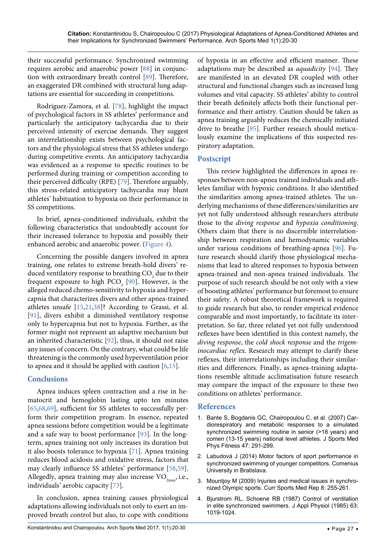their successful performance. Synchronized swimming requires aerobic and anaerobic power [\[88\]](#page-10-12) in conjunction with extraordinary breath control [\[89\]](#page-10-13). Therefore, an exaggerated DR combined with structural lung adaptations are essential for succeeding in competitions.

Rodriguez-Zamora, et al. [\[78\]](#page-9-32), highlight the impact of psychological factors in SS athletes' performance and particularly the anticipatory tachycardia due to their perceived intensity of exercise demands. They suggest an interrelationship exists between psychological factors and the physiological stress that SS athletes undergo during competitive events. An anticipatory tachycardia was evidenced as a response to specific routines to be performed during training or competition according to their perceived difficulty (RPE) [\[79\]](#page-10-0). Therefore arguably, this stress-related anticipatory tachycardia may blunt athletes' habituation to hypoxia on their performance in SS competitions.

In brief, apnea-conditioned individuals, exhibit the following characteristics that undoubtedly account for their increased tolerance to hypoxia and possibly their enhanced aerobic and anaerobic power. ([Figure 4](#page-6-1)).

Concerning the possible dangers involved in apnea training, one relates to extreme breath-hold divers' reduced ventilatory response to breathing  $CO<sub>2</sub>$  due to their frequent exposure to high  $PCO<sub>2</sub>$  [[90](#page-10-14)]. However, is the alleged reduced chemo-sensitivity to hypoxia and hypercapnia that characterizes divers and other apnea-trained athletes unsafe [\[15,](#page-8-9)[21,](#page-8-15)[38\]](#page-8-29)? According to Grassi, et al. [\[91\]](#page-10-15), divers exhibit a diminished ventilatory response only to hypercapnia but not to hypoxia. Further, as the former might not represent an adaptive mechanism but an inherited characteristic [\[92\]](#page-10-16), thus, it should not raise any issues of concern. On the contrary, what could be life threatening is the commonly used hyperventilation prior to apnea and it should be applied with caution [[6](#page-8-1)[,15\]](#page-8-9).

# **Conclusions**

Apnea induces spleen contraction and a rise in hematocrit and hemoglobin lasting upto ten minutes [\[65](#page-9-5)[,68](#page-9-8)[,69](#page-9-4)], sufficient for SS athletes to successfully perform their competition program. In essence, repeated apnea sessions before competition would be a legitimate and a safe way to boost performance [\[93\]](#page-10-17). In the longterm, apnea training not only increases its duration but it also boosts tolerance to hypoxia [[71](#page-9-9)]. Apnea training reduces blood acidosis and oxidative stress, factors that may clearly influence SS athletes' performance [[58](#page-9-26),[59](#page-9-27)]. Allegedly, apnea training may also increase  $VO_{2mav}$ , i.e., individuals' aerobic capacity [[73](#page-9-10)].

In conclusion, apnea training causes physiological adaptations allowing individuals not only to exert an improved breath control but also, to cope with conditions

of hypoxia in an effective and efficient manner. These adaptations may be described as *aquadicity* [\[94\]](#page-10-9). They are manifested in an elevated DR coupled with other structural and functional changes such as increased lung volumes and vital capacity. SS athletes' ability to control their breath definitely affects both their functional performance and their artistry. Caution should be taken as apnea training arguably reduces the chemically initiated drive to breathe [\[95\]](#page-10-10). Further research should meticulously examine the implications of this suspected respiratory adaptation.

# **Postscript**

This review highlighted the differences in apnea responses between non-apnea trained individuals and athletes familiar with hypoxic conditions. It also identified the similarities among apnea-trained athletes. The underlying mechanisms of these differences/similarities are yet not fully understood although researchers attribute those to the *diving response* and *hypoxia conditioning*. Others claim that there is no discernible interrelationship between respiration and hemodynamic variables under various conditions of breathing-apnea [\[96\]](#page-10-11). Future research should clarify those physiological mechanisms that lead to altered responses to hypoxia between apnea-trained and non-apnea trained individuals. The purpose of such research should be not only with a view of boosting athletes' performance but foremost to ensure their safety. A robust theoretical framework is required to guide research but also, to render empirical evidence comparable and most importantly, to facilitate its interpretation. So far, three related yet not fully understood reflexes have been identified in this context namely, the *diving response*, the *cold shock response* and the *trigeminocardiac reflex*. Research may attempt to clarify these reflexes, their interrelationships including their similarities and differences. Finally, as apnea-training adaptations resemble altitude acclimatisation future research may compare the impact of the exposure to these two conditions on athletes' performance.

# **References**

- <span id="page-7-0"></span>1. [Bante S, Bogdanis GC, Chairopoulou C, et al. \(2007\) Car](https://www.ncbi.nlm.nih.gov/pubmed/17641595)[diorespiratory and metabolic responses to a simulated](https://www.ncbi.nlm.nih.gov/pubmed/17641595)  synchronized swimming routine in senior (>18 years) and [comen \(13-15 years\) national level athletes. J Sports Med](https://www.ncbi.nlm.nih.gov/pubmed/17641595)  [Phys Fitness 47: 291-299.](https://www.ncbi.nlm.nih.gov/pubmed/17641595)
- <span id="page-7-1"></span>2. Labudová J (2014) Motor factors of sport performance in synchronized swimming of younger competitors. Comenius University in Bratislava.
- 3. [Mountjoy M \(2009\) Injuries and medical issues in synchro](https://www.ncbi.nlm.nih.gov/pubmed/19741353)[nized Olympic sports. Curr Sports Med Rep 8: 255-261.](https://www.ncbi.nlm.nih.gov/pubmed/19741353)
- <span id="page-7-2"></span>4. [Bjurstrom RL, Schoene RB \(1987\) Control of ventilation](https://www.ncbi.nlm.nih.gov/pubmed/3654451)  [in elite synchronized swimmers. J Appl Physiol \(1985\) 63:](https://www.ncbi.nlm.nih.gov/pubmed/3654451)  [1019-1024.](https://www.ncbi.nlm.nih.gov/pubmed/3654451)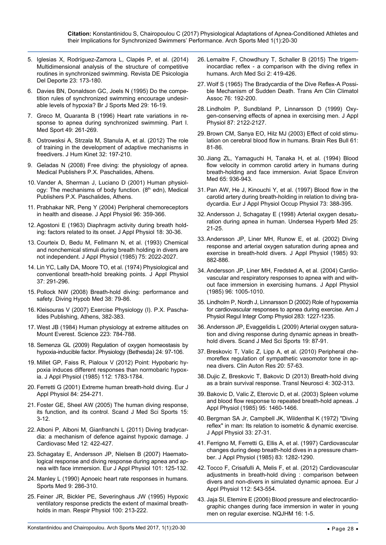- <span id="page-8-0"></span>5. [Iglesias X, Rodríguez-Zamora L, Clapés P, et al. \(2014\)](http://www.scholarmate.com/indexhtml/detail/gNkeHkTHzwk%3D,17,zh_cn.html)  [Multidimensional analysis of the structure of competitive](http://www.scholarmate.com/indexhtml/detail/gNkeHkTHzwk%3D,17,zh_cn.html)  [routines in synchronized swimming. Revista DE Psicologia](http://www.scholarmate.com/indexhtml/detail/gNkeHkTHzwk%3D,17,zh_cn.html)  [Del Deporte 23: 173-180.](http://www.scholarmate.com/indexhtml/detail/gNkeHkTHzwk%3D,17,zh_cn.html)
- <span id="page-8-1"></span>6. [Davies BN, Donaldson GC, Joels N \(1995\) Do the compe](https://www.ncbi.nlm.nih.gov/pubmed/7788210)[tition rules of synchronized swimming encourage undesir](https://www.ncbi.nlm.nih.gov/pubmed/7788210)[able levels of hypoxia? Br J Sports Med 29: 16-19.](https://www.ncbi.nlm.nih.gov/pubmed/7788210)
- <span id="page-8-2"></span>7. Greco M, Quaranta B (1996) Heart rate variations in response to apnea during synchronized swimming. Part I. Med Sport 49: 261-269.
- <span id="page-8-3"></span>8. [Ostrowsksi A, Strzala M, Stanula A, et al. \(2012\) The role](https://www.ncbi.nlm.nih.gov/pubmed/23487544)  [of training in the development of adaptive mechanisms in](https://www.ncbi.nlm.nih.gov/pubmed/23487544)  [freedivers. J Hum Kinet 32: 197-210.](https://www.ncbi.nlm.nih.gov/pubmed/23487544)
- <span id="page-8-4"></span>9. Geladas N (2008) Free diving: the physiology of apnea. Medical Publishers P.X. Paschalides, Athens.
- <span id="page-8-5"></span>10. Vander A, Sherman J, Luciano D (2001) Human physiology: The mechanisms of body function.  $(8<sup>th</sup>$  edn), Medical Publishers P.X. Paschalides, Athens.
- <span id="page-8-6"></span>11. [Prabhakar NR, Peng Y \(2004\) Peripheral chemoreceptors](https://www.ncbi.nlm.nih.gov/pubmed/14660497)  [in health and disease. J Appl Physiol 96: 359-366.](https://www.ncbi.nlm.nih.gov/pubmed/14660497)
- <span id="page-8-7"></span>12. [Agostoni E \(1963\) Diaphragm activity during breath hold](https://www.ncbi.nlm.nih.gov/pubmed/14011263)[ing: factors related to its onset. J Appl Physiol 18: 30-36.](https://www.ncbi.nlm.nih.gov/pubmed/14011263)
- 13. [Courteix D, Bedu M, Fellmann N,](https://www.ncbi.nlm.nih.gov/pubmed/8307855) et al. (1993) Chemical [and nonchemical stimuli during breath holding in divers are](https://www.ncbi.nlm.nih.gov/pubmed/8307855)  [not independent. J Appl Physiol \(1985\) 75: 2022-2027.](https://www.ncbi.nlm.nih.gov/pubmed/8307855)
- <span id="page-8-8"></span>14. [Lin YC, Lally DA, Moore TO, et al. \(1974\) Physiological and](https://www.ncbi.nlm.nih.gov/pubmed/4415069)  [conventional breath-hold breaking points. J Appl Physiol](https://www.ncbi.nlm.nih.gov/pubmed/4415069)  [37: 291-296.](https://www.ncbi.nlm.nih.gov/pubmed/4415069)
- <span id="page-8-9"></span>15. [Pollock NW \(2008\) Breath-hold diving: performance and](https://www.ncbi.nlm.nih.gov/pubmed/22692689)  [safety. Diving Hypob Med 38: 79-86.](https://www.ncbi.nlm.nih.gov/pubmed/22692689)
- <span id="page-8-10"></span>16. Kleisouras V (2007) Exercise Physiology (Ι). P.X. Paschalides Publishing, Athens, 382-383.
- <span id="page-8-11"></span>17. West JB (1984) [Human physiology at extreme altitudes on](https://www.ncbi.nlm.nih.gov/pubmed/6364351)  [Mount Everest. Science 223: 784-788.](https://www.ncbi.nlm.nih.gov/pubmed/6364351)
- <span id="page-8-12"></span>18. Semenza GL (2009) [Regulation of oxygen homeostasis by](https://www.ncbi.nlm.nih.gov/pubmed/19364912)  [hypoxia-inducible factor. Physiology \(Bethesda\) 24](https://www.ncbi.nlm.nih.gov/pubmed/19364912): 97-106.
- <span id="page-8-13"></span>19. [Millet GP, Faiss R, Pialoux V \(2012\)](https://www.ncbi.nlm.nih.gov/pubmed/22267386) Point: Hypobaric hy[poxia induces different responses than normobaric hypox](https://www.ncbi.nlm.nih.gov/pubmed/22267386)[ia. J Appl Physiol \(1985\) 112:](https://www.ncbi.nlm.nih.gov/pubmed/22267386) 1783-1784.
- <span id="page-8-14"></span>20. Ferretti G (2001) [Extreme human breath-hold diving. Eur J](https://www.ncbi.nlm.nih.gov/pubmed/11374109)  [Appl Physiol 84: 254-271.](https://www.ncbi.nlm.nih.gov/pubmed/11374109)
- <span id="page-8-15"></span>21. Foster GE, Sheel AW [\(2005\) The human diving response,](https://www.ncbi.nlm.nih.gov/pubmed/15679566)  [its function, and its control. Scand J Med Sci Sports 15:](https://www.ncbi.nlm.nih.gov/pubmed/15679566)  [3-12.](https://www.ncbi.nlm.nih.gov/pubmed/15679566)
- <span id="page-8-16"></span>22. [Alboni P, Alboni M, Gianfranchi L \(2011\) Diving bradycar](https://www.ncbi.nlm.nih.gov/pubmed/21330930)[dia: a mechanism of defence against hypoxic damage.](https://www.ncbi.nlm.nih.gov/pubmed/21330930) J [Cardiovasc Med 12: 422-427.](https://www.ncbi.nlm.nih.gov/pubmed/21330930)
- <span id="page-8-17"></span>23. [Schagatay E, Andersson JP, Nielsen B \(2007\) Haemato](https://www.ncbi.nlm.nih.gov/pubmed/17541787)[logical response and diving response during apnea and ap](https://www.ncbi.nlm.nih.gov/pubmed/17541787)[nea with face immersion. Eur J Appl Physiol 101: 125-132.](https://www.ncbi.nlm.nih.gov/pubmed/17541787)
- <span id="page-8-18"></span>24. [Manley L \(1990\) Apnoeic heart rate responses in humans.](https://www.ncbi.nlm.nih.gov/pubmed/2188331)  [Sports Med 9: 286-310.](https://www.ncbi.nlm.nih.gov/pubmed/2188331)
- <span id="page-8-34"></span>25. [Feiner JR, Bickler PE, Severinghaus JW](https://www.ncbi.nlm.nih.gov/pubmed/7481110) (1995) Hypoxic [ventilatory response predicts the extent of maximal breath](https://www.ncbi.nlm.nih.gov/pubmed/7481110)[holds in man. Respir Physiol 100: 213-222.](https://www.ncbi.nlm.nih.gov/pubmed/7481110)
- <span id="page-8-35"></span>26. [Lemaitre F, Chowdhury T, Schaller B](https://www.ncbi.nlm.nih.gov/pmc/articles/PMC4424259/) (2015) The trigeminocardiac reflex - [a comparison with the diving reflex in](https://www.ncbi.nlm.nih.gov/pmc/articles/PMC4424259/)  [humans. Arch Med Sci 2: 419-426.](https://www.ncbi.nlm.nih.gov/pmc/articles/PMC4424259/)
- <span id="page-8-36"></span>27. Wolf S (1965) [The Bradycardia of the Dive Reflex](https://www.ncbi.nlm.nih.gov/pubmed/14296493)-A Possi[ble Mechanism of Sudden Death. Trans Am Clin Climatol](https://www.ncbi.nlm.nih.gov/pubmed/14296493)  [Assoc 76: 192-200.](https://www.ncbi.nlm.nih.gov/pubmed/14296493)
- <span id="page-8-22"></span>28. [Lindholm P, Sundbland P, Linnarsson D \(1999\)](https://www.ncbi.nlm.nih.gov/pubmed/10601158) Oxy[gen-conserving effects of apnea in exercising men. J Appl](https://www.ncbi.nlm.nih.gov/pubmed/10601158)  [Physiol 87: 2122-2127.](https://www.ncbi.nlm.nih.gov/pubmed/10601158)
- <span id="page-8-19"></span>29. [Brown CM, Sanya EO, Hilz MJ \(2003\) Effect of cold stimu](https://www.ncbi.nlm.nih.gov/pubmed/12788210)[lation on cerebral blood flow in humans. Brain Res Bull 61](https://www.ncbi.nlm.nih.gov/pubmed/12788210): [81-86.](https://www.ncbi.nlm.nih.gov/pubmed/12788210)
- <span id="page-8-20"></span>30. [Jiang ZL, Yamaguchi H, Tanaka H, et al. \(1994\) Blood](https://www.ncbi.nlm.nih.gov/pubmed/7832737)  [flow velocity in common carotid artery in humans during](https://www.ncbi.nlm.nih.gov/pubmed/7832737)  [breath-holding and face immersion. Aviat Space Environ](https://www.ncbi.nlm.nih.gov/pubmed/7832737)  [Med 65: 936-943.](https://www.ncbi.nlm.nih.gov/pubmed/7832737)
- <span id="page-8-21"></span>31. [Pan AW, He J, Kinouchi Y, et al. \(1997\)](https://www.ncbi.nlm.nih.gov/pubmed/9189724) Blood flow in the [carotid artery during breath-holding in relation to diving bra](https://www.ncbi.nlm.nih.gov/pubmed/9189724)[dycardia. Eur J Appl Physiol Occup Physiol 73: 388-395.](https://www.ncbi.nlm.nih.gov/pubmed/9189724)
- <span id="page-8-23"></span>32. [Andersson J, Schagatay E \(1998\)](https://www.ncbi.nlm.nih.gov/pubmed/9566083) Arterial oxygen desatu[ration during apnea in human. Undersea Hyperb Med 25:](https://www.ncbi.nlm.nih.gov/pubmed/9566083)  [21-25.](https://www.ncbi.nlm.nih.gov/pubmed/9566083)
- <span id="page-8-24"></span>33. [Andersson JP, Liner MH, Runow E, et al. \(2002\) Diving](https://www.ncbi.nlm.nih.gov/pubmed/12183481)  [response and arterial oxygen saturation during apnea and](https://www.ncbi.nlm.nih.gov/pubmed/12183481)  [exercise in breath-hold divers. J Appl Physiol](https://www.ncbi.nlm.nih.gov/pubmed/12183481) (1985) 93: [882-886.](https://www.ncbi.nlm.nih.gov/pubmed/12183481)
- <span id="page-8-25"></span>34. [Andersson JP, Liner MH](https://www.ncbi.nlm.nih.gov/pubmed/14578373), Fredsted A, et al. (2004) Cardio[vascular and respiratory responses to apnea with and with](https://www.ncbi.nlm.nih.gov/pubmed/14578373)[out face immersion in exercising humans. J Appl Physiol](https://www.ncbi.nlm.nih.gov/pubmed/14578373) [\(1985\) 96: 1005-1010.](https://www.ncbi.nlm.nih.gov/pubmed/14578373)
- <span id="page-8-26"></span>35. [Lindholm P, Nordh J, Linnarsson D \(2002\)](https://www.ncbi.nlm.nih.gov/pubmed/12376417) Role of hypoxemia [for cardiovascular responses to apnea during exercise. Am J](https://www.ncbi.nlm.nih.gov/pubmed/12376417)  [Physiol Regul Integr Comp Physiol 283: 1227-1235.](https://www.ncbi.nlm.nih.gov/pubmed/12376417)
- <span id="page-8-27"></span>36. [Andersson JP, Evaggelidis L \(2009\)](https://www.ncbi.nlm.nih.gov/pubmed/18298614) Arterial oxygen satura[tion and diving response during dynamic apneas in breath](https://www.ncbi.nlm.nih.gov/pubmed/18298614)[hold divers. Scand J Med Sci Sports 19: 87-91.](https://www.ncbi.nlm.nih.gov/pubmed/18298614)
- <span id="page-8-28"></span>37. [Breskovic T, Valic Z, Lipp A, et al. \(2010\) Peripheral che](https://www.ncbi.nlm.nih.gov/pubmed/19820987)[moreflex regulation of sympathetic vasomotor tone in ap](https://www.ncbi.nlm.nih.gov/pubmed/19820987)[nea divers. Clin Auton Res 20: 57-63.](https://www.ncbi.nlm.nih.gov/pubmed/19820987)
- <span id="page-8-29"></span>38. [Dujic Z, Breskovic T, Bakovic D \(2013\) Breath-hold diving](https://link.springer.com/article/10.2478/s13380-013-0130-5)  [as a brain survival response. Transl Neurosci 4: 302-313.](https://link.springer.com/article/10.2478/s13380-013-0130-5)
- <span id="page-8-30"></span>39. [Bakovic D, Valic Z, Eterovic D, et al. \(2003\) Spleen volume](https://www.ncbi.nlm.nih.gov/pubmed/12819225)  [and blood flow response to repeated breath-hold apneas. J](https://www.ncbi.nlm.nih.gov/pubmed/12819225)  [Appl Physiol \(1985\) 95: 1460-1466.](https://www.ncbi.nlm.nih.gov/pubmed/12819225)
- <span id="page-8-37"></span>40. Bergman SA [Jr, Campbell JK, Wildenthal K \(1972\)](https://www.ncbi.nlm.nih.gov/pubmed/5037406) "Diving reflex" [in man: Its relation to isometric & dynamic exercise.](https://www.ncbi.nlm.nih.gov/pubmed/5037406)  [J Appl Physiol 33: 27-31.](https://www.ncbi.nlm.nih.gov/pubmed/5037406)
- <span id="page-8-33"></span>41. [Ferrigno M, Ferretti G, Ellis A,](https://www.ncbi.nlm.nih.gov/pubmed/9338438) et al. (1997) Cardiovascular [changes during deep breath-hold dives in a pressure cham](https://www.ncbi.nlm.nih.gov/pubmed/9338438)[ber. J Appl Physiol \(1985\) 83: 1282-1290.](https://www.ncbi.nlm.nih.gov/pubmed/9338438)
- <span id="page-8-31"></span>42. [Tocco F, Crisafulli A, Melis F,](https://www.ncbi.nlm.nih.gov/pubmed/21607680) et al. (2012) Cardiovascular [adjustments in breath-hold diving : comparison between](https://www.ncbi.nlm.nih.gov/pubmed/21607680)  [divers and non-divers in simulated dynamic apnoea. Eur J](https://www.ncbi.nlm.nih.gov/pubmed/21607680)  [Appl Physiol 112: 543-554.](https://www.ncbi.nlm.nih.gov/pubmed/21607680)
- <span id="page-8-32"></span>43. [Jaja SI, Etemire E \(2006\) Blood pressure and electrocardio](https://www.ajol.info/index.php/nqjhm/article/view/12785)[graphic changes during face immersion in water in young](https://www.ajol.info/index.php/nqjhm/article/view/12785)  [men on regular exercise. NQJHM](https://www.ajol.info/index.php/nqjhm/article/view/12785) 16: 1-5.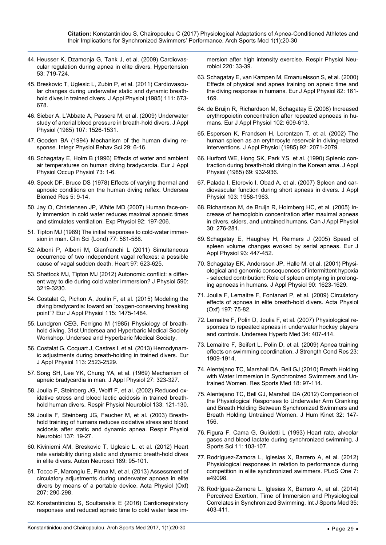- <span id="page-9-0"></span>44. [Heusser K, Dzamonja G, Tank J, et al. \(2009\) Cardiovas](https://www.ncbi.nlm.nih.gov/pubmed/19255361)[cular regulation during apnea in elite divers. Hypertension](https://www.ncbi.nlm.nih.gov/pubmed/19255361)  [53: 719-724.](https://www.ncbi.nlm.nih.gov/pubmed/19255361)
- <span id="page-9-1"></span>45. [Breskovic T, Uglesic L, Zubin P, et al. \(2011\) Cardiovascu](https://www.ncbi.nlm.nih.gov/pubmed/21719730)[lar changes during underwater static and dynamic breath](https://www.ncbi.nlm.nih.gov/pubmed/21719730)[hold dives in trained divers. J Appl Physiol \(1985\) 111: 673-](https://www.ncbi.nlm.nih.gov/pubmed/21719730) [678.](https://www.ncbi.nlm.nih.gov/pubmed/21719730)
- <span id="page-9-2"></span>46. [Sieber A, L'Abbate A, Passera M, et al. \(2009\) Underwater](https://www.ncbi.nlm.nih.gov/pubmed/19696356)  [study of arterial blood pressure in breath-hold divers. J Appl](https://www.ncbi.nlm.nih.gov/pubmed/19696356)  [Physiol \(1985\) 107: 1526-1531.](https://www.ncbi.nlm.nih.gov/pubmed/19696356)
- <span id="page-9-15"></span>47. [Gooden BA \(1994\) Mechanism of the human diving re](https://www.ncbi.nlm.nih.gov/pubmed/8018553)[sponse. Integr Physiol Behav Sci 29: 6-16.](https://www.ncbi.nlm.nih.gov/pubmed/8018553)
- <span id="page-9-16"></span>48. Schagatay Ε, Holm Β [\(1996\) Effects of water and ambient](https://www.ncbi.nlm.nih.gov/pubmed/8861662)  [air temperatures on human diving bradycardia. Eur J Appl](https://www.ncbi.nlm.nih.gov/pubmed/8861662)  [Physiol Occup Physiol 73: 1-6.](https://www.ncbi.nlm.nih.gov/pubmed/8861662)
- <span id="page-9-17"></span>49. Speck DF, Bruce DS [\(1978\) Effects of varying thermal and](https://www.ncbi.nlm.nih.gov/pubmed/636078)  [apnoeic conditions on the human diving reflex. Undersea](https://www.ncbi.nlm.nih.gov/pubmed/636078)  [Biomed Res 5: 9-14.](https://www.ncbi.nlm.nih.gov/pubmed/636078)
- <span id="page-9-18"></span>50. [Jay O, Christensen JP, White MD \(2007\) Human face-on](https://www.ncbi.nlm.nih.gov/pubmed/17099062)[ly immersion in cold water reduces maximal apnoeic times](https://www.ncbi.nlm.nih.gov/pubmed/17099062)  [and stimulates ventilation. Exp Physiol 92](https://www.ncbi.nlm.nih.gov/pubmed/17099062): 197-206.
- <span id="page-9-19"></span>51. [Tipton MJ \(1989\) The initial responses to cold-water immer](https://www.ncbi.nlm.nih.gov/pubmed/2691172)[sion in man. Clin Sci \(Lond\) 77: 581-588.](https://www.ncbi.nlm.nih.gov/pubmed/2691172)
- <span id="page-9-20"></span>52. [Alboni P, Alboni M, Gianfranchi L \(2011\) Simultaneous](https://www.ncbi.nlm.nih.gov/pubmed/21357371)  [occurrence of two independent vagal reflexes: a possible](https://www.ncbi.nlm.nih.gov/pubmed/21357371)  [cause of vagal sudden death. Heart 97: 623-625.](https://www.ncbi.nlm.nih.gov/pubmed/21357371)
- <span id="page-9-21"></span>53. Shattock MJ, Tipton MJ (2012) [Autonomic conflict: a differ](https://www.ncbi.nlm.nih.gov/pmc/articles/PMC3459038/)[ent way to die during cold water immersion? J Physiol 590](https://www.ncbi.nlm.nih.gov/pmc/articles/PMC3459038/): [3219-3230.](https://www.ncbi.nlm.nih.gov/pmc/articles/PMC3459038/)
- <span id="page-9-22"></span>54. [Costalat G, Pichon A, Joulin](https://www.ncbi.nlm.nih.gov/pubmed/25691132) F, et al. (2015) Modeling the [diving bradycardia: toward an "oxygen-conserving breaking](https://www.ncbi.nlm.nih.gov/pubmed/25691132)  [point"? Eur J Appl Physiol](https://www.ncbi.nlm.nih.gov/pubmed/25691132) 115: 1475-1484.
- <span id="page-9-23"></span>55. Lundgren CEG, Ferrigno M (1985) Physiology of breathhold diving. 31st Undersea and Hyperbaric Medical Society Workshop. Undersea and Hyperbaric Medical Society.
- <span id="page-9-24"></span>56. [Costalat G, Coquart J, Castres I, et al. \(2013\) Hemodynam](https://www.ncbi.nlm.nih.gov/pubmed/23821240)[ic adjustments during breath-holding in trained divers. Eur](https://www.ncbi.nlm.nih.gov/pubmed/23821240)  [J Appl Physiol 113: 2523-2529.](https://www.ncbi.nlm.nih.gov/pubmed/23821240)
- <span id="page-9-25"></span>57. [Song SH, Lee YK, Chung YA,](https://www.ncbi.nlm.nih.gov/pubmed/5804127) et al. (1969) Mechanism of [apneic bradycardia in man. J Appl Physiol 27: 323-327.](https://www.ncbi.nlm.nih.gov/pubmed/5804127)
- <span id="page-9-26"></span>58. [Joulia F, Steinberg JG, Wolff F,](https://www.ncbi.nlm.nih.gov/pubmed/12385737) et al. (2002) Reduced ox[idative stress and blood lactic acidosis in trained breath](https://www.ncbi.nlm.nih.gov/pubmed/12385737)[hold human divers. Respir Physiol Neurobiol 133: 121-130.](https://www.ncbi.nlm.nih.gov/pubmed/12385737)
- <span id="page-9-27"></span>59. [Joulia F, Steinberg JG, Faucher M](https://www.ncbi.nlm.nih.gov/pubmed/12871674), et al. (2003) Breath[hold training of humans reduces oxidative stress and blood](https://www.ncbi.nlm.nih.gov/pubmed/12871674)  [acidosis after static and dynamic apnea. Respir Physiol](https://www.ncbi.nlm.nih.gov/pubmed/12871674)  [Neurobiol 137:](https://www.ncbi.nlm.nih.gov/pubmed/12871674) 19-27.
- <span id="page-9-28"></span>60. [Kiviniemi AM, Breskovic T, Uglesic L, et al. \(2012\) Heart](https://www.ncbi.nlm.nih.gov/pubmed/22682754)  [rate variability during static and dynamic breath-hold dives](https://www.ncbi.nlm.nih.gov/pubmed/22682754)  [in elite divers. Auton Neurosci 169: 95-101.](https://www.ncbi.nlm.nih.gov/pubmed/22682754)
- <span id="page-9-29"></span>61. [Tocco F, Marongiu E, Pinna M,](https://www.ncbi.nlm.nih.gov/pubmed/22978452) et al. (2013) Assessment of [circulatory adjustments during underwater apnoea in elite](https://www.ncbi.nlm.nih.gov/pubmed/22978452)  [divers by means of a portable device. Acta Physiol \(Oxf\)](https://www.ncbi.nlm.nih.gov/pubmed/22978452)  207: [290-298.](https://www.ncbi.nlm.nih.gov/pubmed/22978452)
- <span id="page-9-30"></span>62. [Konstantinidou S, Soultanakis E \(2016\) Cardiorespiratory](https://www.ncbi.nlm.nih.gov/pubmed/26343750)  [responses and reduced apneic time to cold water face im-](https://www.ncbi.nlm.nih.gov/pubmed/26343750)

[mersion after high intensity exercise. Respir Physiol Neu](https://www.ncbi.nlm.nih.gov/pubmed/26343750)[robiol 220: 33-39.](https://www.ncbi.nlm.nih.gov/pubmed/26343750)

- <span id="page-9-31"></span>63. [Schagatay Ε, van Kampen Μ, Emanuelsson S,](https://www.ncbi.nlm.nih.gov/pubmed/10929209) et al. (2000) [Effects of physical and apnea training on apneic time and](https://www.ncbi.nlm.nih.gov/pubmed/10929209)  [the diving response in humans. Eur J Appl Physiol 82: 161-](https://www.ncbi.nlm.nih.gov/pubmed/10929209) [169.](https://www.ncbi.nlm.nih.gov/pubmed/10929209)
- <span id="page-9-3"></span>64. [de Bruijn R, Richardson M, Schagatay E \(2008\) Increased](https://www.ncbi.nlm.nih.gov/pubmed/18097682)  [erythropoietin concentration after repeated apnoeas in hu](https://www.ncbi.nlm.nih.gov/pubmed/18097682)[mans. Eur J Appl Physiol 102: 609-613.](https://www.ncbi.nlm.nih.gov/pubmed/18097682)
- <span id="page-9-5"></span>65. [Espersen K, Frandsen H, Lorentzen T,](https://www.ncbi.nlm.nih.gov/pubmed/11960959) et al. (2002) The [human spleen as an erythrocyte reservoir in diving-related](https://www.ncbi.nlm.nih.gov/pubmed/11960959)  [interventions. J Appl Physiol \(1985\) 92: 2071-2079.](https://www.ncbi.nlm.nih.gov/pubmed/11960959)
- <span id="page-9-7"></span>66. [Hurford WE, Hong SK, Park YS, et al. \(1990\) Splenic con](https://www.ncbi.nlm.nih.gov/pubmed/2246181)[traction during breath-hold diving in the Korean ama. J Appl](https://www.ncbi.nlm.nih.gov/pubmed/2246181)  [Physiol \(1985\) 69: 932-936.](https://www.ncbi.nlm.nih.gov/pubmed/2246181)
- 67. [Palada Ι, Eterovic Ι, Obad Α,](http://citeseerx.ist.psu.edu/viewdoc/download?doi=10.1.1.596.1230&rep=rep1&type=pdf) et al. (2007) Spleen and car[diovascular function during short apneas in divers. J Appl](http://citeseerx.ist.psu.edu/viewdoc/download?doi=10.1.1.596.1230&rep=rep1&type=pdf)  [Physiol 103: 1958-1963.](http://citeseerx.ist.psu.edu/viewdoc/download?doi=10.1.1.596.1230&rep=rep1&type=pdf)
- <span id="page-9-8"></span>68. [Richardson M, de Bruijn R, Holmberg HC, et al. \(2005\) In](https://www.ncbi.nlm.nih.gov/pubmed/16129892)[crease of hemoglobin concentration after maximal apneas](https://www.ncbi.nlm.nih.gov/pubmed/16129892)  [in divers, skiers, and untrained humans. Can J Appl Physiol](https://www.ncbi.nlm.nih.gov/pubmed/16129892)  [30: 276-281.](https://www.ncbi.nlm.nih.gov/pubmed/16129892)
- <span id="page-9-4"></span>69. [Schagatay E, Haughey H, Reimers J \(2005\) Speed of](https://www.ncbi.nlm.nih.gov/pubmed/15503125)  [spleen volume changes evoked by serial apneas. Eur J](https://www.ncbi.nlm.nih.gov/pubmed/15503125)  [Appl Physiol 93: 447-452.](https://www.ncbi.nlm.nih.gov/pubmed/15503125)
- <span id="page-9-6"></span>70. [Schagatay EK, Andersson](http://jap.physiology.org/content/jap/90/4/1623.full.pdf) JP, Halle M, et al. (2001) Physi[ological and genomic consequences of intermittent hypoxia](http://jap.physiology.org/content/jap/90/4/1623.full.pdf)  [- selected contribution: Role of spleen emptying in prolong](http://jap.physiology.org/content/jap/90/4/1623.full.pdf)[ing apnoeas in humans. J Appl Physiol 90: 1623-1629.](http://jap.physiology.org/content/jap/90/4/1623.full.pdf)
- <span id="page-9-9"></span>71. Joulia [F, Lemaitre F, Fontanari P,](https://www.ncbi.nlm.nih.gov/pubmed/19254286) et al. (2009) Circulatory [effects of apnoea in elite breath-hold divers. Acta Physiol](https://www.ncbi.nlm.nih.gov/pubmed/19254286)  (Oxf) [197: 75-82.](https://www.ncbi.nlm.nih.gov/pubmed/19254286)
- 72. Lemaitre F, Polin D, Joulia F, [et al. \(2007\) Physiological re](https://www.ncbi.nlm.nih.gov/pubmed/18251437)[sponses to repeated apneas in underwater hockey players](https://www.ncbi.nlm.nih.gov/pubmed/18251437)  [and controls. Undersea Hyperb Med 34: 407-414.](https://www.ncbi.nlm.nih.gov/pubmed/18251437)
- <span id="page-9-10"></span>73. [Lemaitre F, Seifert L, Polin D,](https://www.ncbi.nlm.nih.gov/pubmed/19675466) et al. (2009) Apnea training [effects on swimming coordination. J Strength Cond Res 23:](https://www.ncbi.nlm.nih.gov/pubmed/19675466)  [1909-1914.](https://www.ncbi.nlm.nih.gov/pubmed/19675466)
- <span id="page-9-11"></span>74. [Alentejano TC, Marshall DA, Bell GJ \(2010\) Breath Holding](https://www.ncbi.nlm.nih.gov/pubmed/20397113)  [with Water Immersion in Synchronized Swimmers and Un](https://www.ncbi.nlm.nih.gov/pubmed/20397113)[trained Women. Res Sports Med 18: 97-114.](https://www.ncbi.nlm.nih.gov/pubmed/20397113)
- <span id="page-9-12"></span>75. [Alentejano TC, Bell GJ, Marshall DA \(2012\) Comparison of](https://www.ncbi.nlm.nih.gov/pmc/articles/PMC3590873/)  [the Physiological Responses to Underwater Arm Cranking](https://www.ncbi.nlm.nih.gov/pmc/articles/PMC3590873/)  [and Breath Holding Between Synchronized Swimmers and](https://www.ncbi.nlm.nih.gov/pmc/articles/PMC3590873/)  [Breath Holding Untrained Women. J Hum Kinet 32: 147-](https://www.ncbi.nlm.nih.gov/pmc/articles/PMC3590873/) [156.](https://www.ncbi.nlm.nih.gov/pmc/articles/PMC3590873/)
- <span id="page-9-13"></span>76. [Figura F, Cama G, Guidetti L](https://www.ncbi.nlm.nih.gov/pubmed/8497011) (1993) Heart rate, alveolar [gases and blood lactate during synchronized swimming. J](https://www.ncbi.nlm.nih.gov/pubmed/8497011)  [Sports Sci 11: 103-107.](https://www.ncbi.nlm.nih.gov/pubmed/8497011)
- <span id="page-9-14"></span>77. Rodríguez-Zamora [L, Iglesias X, Barrero A, et al. \(2012\)](https://www.ncbi.nlm.nih.gov/pmc/articles/PMC3498322/) [Physiological responses in relation to performance during](https://www.ncbi.nlm.nih.gov/pmc/articles/PMC3498322/)  [competition in elite synchronized swimmers. PLoS One 7:](https://www.ncbi.nlm.nih.gov/pmc/articles/PMC3498322/)  [e49098.](https://www.ncbi.nlm.nih.gov/pmc/articles/PMC3498322/)
- <span id="page-9-32"></span>78. Rodríguez-Zamora [L, Iglesias X, Barrero A, et al. \(2014\)](https://www.ncbi.nlm.nih.gov/pubmed/24081620) [Perceived Exertion, Time of Immersion and Physiological](https://www.ncbi.nlm.nih.gov/pubmed/24081620)  [Correlates in Synchronized Swimming. Int J Sports Med 35:](https://www.ncbi.nlm.nih.gov/pubmed/24081620)  [403-411.](https://www.ncbi.nlm.nih.gov/pubmed/24081620)